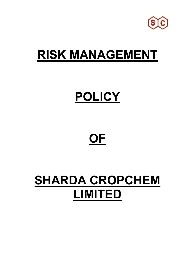

### **RISK MANAGEMENT**

# **POLICY**

## **OF**

### **SHARDA CROPCHEM LIMITED**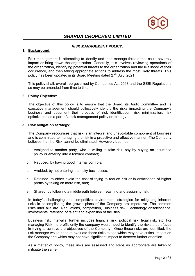

### *SHARDA CROPCHEM LIMITED*

#### *RISK MANAGEMENT POLICY:*

#### **1. Background:**

Risk management is attempting to identify and then manage threats that could severely impact or bring down the organization. Generally, this involves reviewing operations of the organization, identifying potential threats to the organization and the likelihood of their occurrence, and then taking appropriate actions to address the most likely threats. This policy has been updated in its Board Meeting dated 27<sup>th</sup> July, 2021.

This policy shall, overall, be governed by Companies Act 2013 and the SEBI Regulations as may be amended from time to time.

#### **2. Policy Objective:**

The objective of this policy is to ensure that the Board, its Audit Committee and its executive management should collectively identify the risks impacting the Company's business and document their process of risk identification, risk minimization, risk optimization as a part of a risk management policy or strategy.

#### **3. Risk Mitigation Strategy:**

The Company recognises that risk is an integral and unavoidable component of business and is committed to managing the risk in a proactive and effective manner. The Company believes that the Risk cannot be eliminated. However, it can be

- a. Assigned to another party, who is willing to take risk, say by buying an insurance policy or entering into a forward contract;
- b. Reduced, by having good internal controls;
- c. Avoided, by not entering into risky businesses;
- d. Retained, to either avoid the cost of trying to reduce risk or in anticipation of higher profits by taking on more risk, and;
- e. Shared, by following a middle path between retaining and assigning risk.

In today's challenging and competitive environment, strategies for mitigating inherent risks in accomplishing the growth plans of the Company are imperative. The common risks inter alia are: Regulations, competition, Business risk, Technology obsolescence, Investments, retention of talent and expansion of facilities.

Business risk, inter-alia, further includes financial risk, political risk, legal risk, etc. For managing Risk more efficiently the company would need to identify the risks that it faces in trying to achieve the objectives of the Company. Once these risks are identified, the risk manager would need to evaluate these risks to see which may have critical impact on the Company and which may not have significant impact to deserve further attention.

As a matter of policy, these risks are assessed and steps as appropriate are taken to mitigate the same.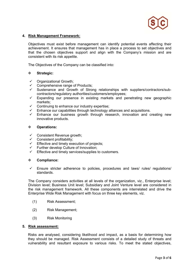

#### **4. Risk Management Framework:**

 Objectives must exist before management can identify potential events affecting their achievement. It ensures that management has in place a process to set objectives and that the chosen objectives support and align with the Company's mission and are consistent with its risk appetite.

The Objectives of the Company can be classified into:

#### **Strategic:**

- Organizational Growth;
- $\checkmark$  Comprehensive range of Products;
- $\checkmark$  Sustenance and Growth of Strong relationships with suppliers/contractors/subcontractors/regulatory authorities/customers/employees;
- $\checkmark$  Expanding our presence in existing markets and penetrating new geographic markets;
- $\checkmark$  Continuing to enhance our industry expertise;
- Enhance our capabilities through technology alliances and acquisitions.
- Enhance our business growth through research, innovation and creating new innovative products.

#### **Operations:**

- Consistent Revenue growth;
- $\checkmark$  Consistent profitability;<br> $\checkmark$  Effective and timely over
- Effective and timely execution of projects;
- Further develop Culture of Innovation;
- $\checkmark$  Effective and timely services/supplies to customers.

#### **Compliance:**

 $\checkmark$  Ensure stricter adherence to policies, procedures and laws/ rules/ regulations/ standards.

 The Company considers activities at all levels of the organization, viz., Enterprise level; Division level; Business Unit level; Subsidiary and Joint Venture level are considered in the risk management framework. All these components are interrelated and drive the Enterprise Wide Risk Management with focus on three key elements, viz.

- (1) Risk Assessment;
- (2) Risk Management;
- (3) Risk Monitoring

#### **5. Risk assessment:**

Risks are analysed, considering likelihood and impact, as a basis for determining how they should be managed. Risk Assessment consists of a detailed study of threats and vulnerability and resultant exposure to various risks. To meet the stated objectives,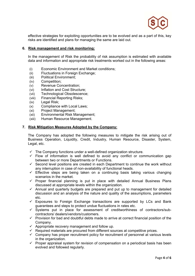

effective strategies for exploiting opportunities are to be evolved and as a part of this, key risks are identified and plans for managing the same are laid out.

#### **6. Risk management and risk monitoring:**

In the management of Risk the probability of risk assumption is estimated with available data and information and appropriate risk treatments worked out in the following areas:

- (i) Economic Environment and Market conditions;
- (ii) Fluctuations in Foreign Exchange;
- (iii) Political Environment;
- (iv) Competition;
- (v) Revenue Concentration;
- (vi) Inflation and Cost Structure;
- (vii) Technological Obsolescence;
- (viii) Financial Reporting Risks;
- (ix) Legal Risk;
- (x) Compliance with Local Laws;
- (xi) Project Management;
- (xii) Environmental Risk Management;
- (xiii) Human Resource Management.

#### **7. Risk Mitigation Measures Adopted by the Company:**

The Company has adopted the following measures to mitigate the risk arising out of Business Operation, Liquidity, Credit, Industry, Human Resource, Disaster, System, Legal, etc.

- $\checkmark$  The Company functions under a well-defined organization structure.
- $\checkmark$  Flow of information is well defined to avoid any conflict or communication gap between two or more Departments or Functions.
- $\checkmark$  Second level positions are created in each Department to continue the work without any interruption in case of non-availability of functional heads.
- $\checkmark$  Effective steps are being taken on a continuing basis taking various changing scenarios in the market.
- $\checkmark$  Proper financial planning is put in place with detailed Annual Business Plans discussed at appropriate levels within the organization.
- $\checkmark$  Annual and quarterly budgets are prepared and put up to management for detailed discussion and an analysis of the nature and quality of the assumptions, parameters etc.
- $\checkmark$  Exposures to Foreign Exchange transactions are supported by LCs and Bank guarantees and steps to protect undue fluctuations in rates etc.
- $\checkmark$  Systems put in place for assessment of creditworthiness of contractors/subcontractors/ dealers/vendors/customers.
- $\checkmark$  Provision for bad and doubtful debts made to arrive at correct financial position of the Company.
- $\checkmark$  Appropriate recovery management and follow up.
- $\checkmark$  Required materials are procured from different sources at competitive prices.
- $\checkmark$  Company has proper recruitment policy for recruitment of personnel at various levels in the organization.
- $\checkmark$  Proper appraisal system for revision of compensation on a periodical basis has been evolved and followed regularly.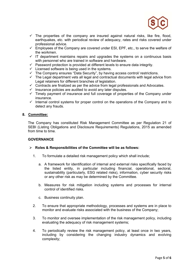

- $\checkmark$  The properties of the company are insured against natural risks, like fire, flood, earthquakes, etc. with periodical review of adequacy, rates and risks covered under professional advice.
- $\checkmark$  Employees of the Company are covered under ESI, EPF, etc., to serve the welfare of the workmen.
- $\checkmark$  IT department maintains repairs and upgrades the systems on a continuous basis with personnel who are trained in software and hardware.
- $\checkmark$  Password protection is provided at different levels to ensure data integrity.
- $\checkmark$  Licensed software is being used in the systems.
- $\checkmark$  The Company ensures "Data Security", by having access control/ restrictions.
- The Company chaused Bala Cooling, by naving access contract reservation. Legal retainers for different branches of legislation.
- $\checkmark$  Contracts are finalized as per the advice from legal professionals and Advocates.
- $\checkmark$  Insurance policies are audited to avoid any later disputes.
- $\checkmark$  Timely payment of insurance and full coverage of properties of the Company under insurance.
- $\checkmark$  Internal control systems for proper control on the operations of the Company and to detect any frauds.

#### **8. Committee:**

The Company has constituted Risk Management Committee as per Regulation 21 of SEBI (Listing Obligations and Disclosure Requirements) Regulations, 2015 as amended from time to time.

#### **GOVERNANCE**

#### **Roles & Responsibilities of the Committee will be as follows:**

- 1. To formulate a detailed risk management policy which shall include;
	- a. A framework for identification of internal and external risks specifically faced by the listed entity, in particular including financial, operational, sectoral, sustainability (particularly, ESG related risks), information, cyber security risks or any other risk as may be determined by the Committee.
	- b. Measures for risk mitigation including systems and processes for internal control of identified risks.
	- c. Business continuity plan.
- 2. To ensure that appropriate methodology, processes and systems are in place to monitor and evaluate risks associated with the business of the Company;
- 3. To monitor and oversee implementation of the risk management policy, including evaluating the adequacy of risk management systems;
- 4. To periodically review the risk management policy, at least once in two years, including by considering the changing industry dynamics and evolving complexity;